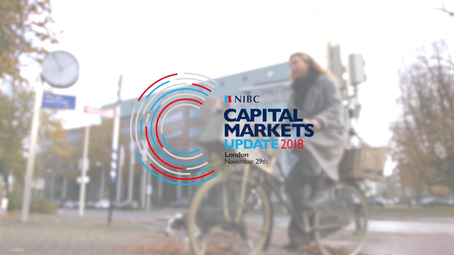# INIBC **CAPITAL<br>MARKETS<br>UPDATE 2018**

London<br>November 29th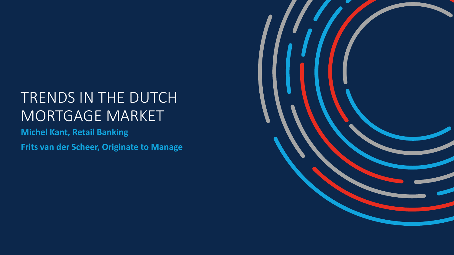# TRENDS IN THE DUTCH MORTGAGE MARKET

**Michel Kant, Retail Banking**

**Frits van der Scheer, Originate to Manage**

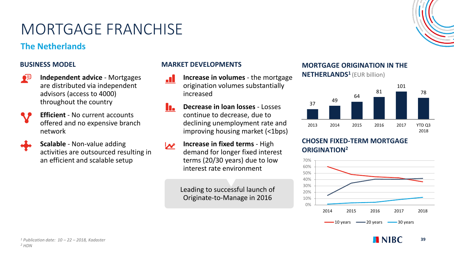# MORTGAGE FRANCHISE

# **The Netherlands**

### **BUSINESS MODEL**



**Independent advice** - Mortgages are distributed via independent advisors (access to 4000) throughout the country



**Efficient** - No current accounts offered and no expensive branch network



**Scalable** - Non-value adding activities are outsourced resulting in an efficient and scalable setup

### **MARKET DEVELOPMENTS**

- **Increase in volumes**  the mortgage **A** origination volumes substantially increased
- **Decrease in loan losses**  Losses n. continue to decrease, due to declining unemployment rate and improving housing market (<1bps)
- **Increase in fixed terms**  High  $\boldsymbol{\mathcal{N}}$ demand for longer fixed interest terms (20/30 years) due to low interest rate environment

Leading to successful launch of Originate-to-Manage in 2016

## **MORTGAGE ORIGINATION IN THE**

**NETHERLANDS<sup>1</sup>**(EUR billion)



### **CHOSEN FIXED-TERM MORTGAGE ORIGINATION<sup>2</sup>**





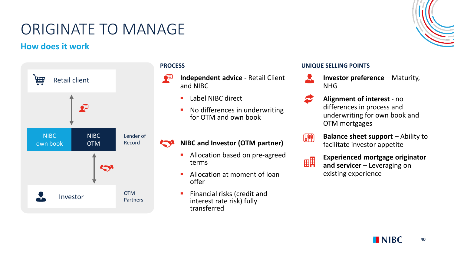# ORIGINATE TO MANAGE

# **How does it work**



#### **PROCESS**

- ◕ႀ **Independent advice** - Retail Client and NIBC
	- Label NIBC direct
	- No differences in underwriting for OTM and own book

#### **NIBC and Investor (OTM partner)**

- Allocation based on pre-agreed terms
- Allocation at moment of loan offer
- Financial risks (credit and interest rate risk) fully transferred

#### **UNIQUE SELLING POINTS**

- **Investor preference Maturity,** NHG
- **Alignment of interest**  no differences in process and underwriting for own book and OTM mortgages



**Balance sheet support** – Ability to facilitate investor appetite



### **Experienced mortgage originator and servicer** – Leveraging on existing experience